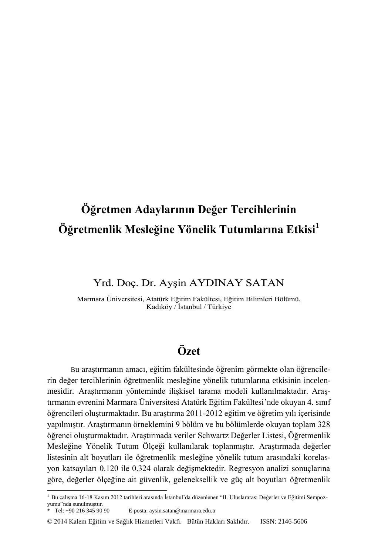# **Öğretmen Adaylarının Değer Tercihlerinin Öğretmenlik Mesleğine Yönelik Tutumlarına Etkisi<sup>1</sup>**

# Yrd. Doç. Dr. Ayşin AYDINAY SATAN

Marmara Üniversitesi, Atatürk Eğitim Fakültesi, Eğitim Bilimleri Bölümü, Kadıköy / İstanbul / Türkiye

# **Özet**

Bu araştırmanın amacı, eğitim fakültesinde öğrenim görmekte olan öğrencilerin değer tercihlerinin öğretmenlik mesleğine yönelik tutumlarına etkisinin incelenmesidir. Araştırmanın yönteminde ilişkisel tarama modeli kullanılmaktadır. Araştırmanın evrenini Marmara Üniversitesi Atatürk Eğitim Fakültesi'nde okuyan 4. sınıf öğrencileri oluşturmaktadır. Bu araştırma 2011-2012 eğitim ve öğretim yılı içerisinde yapılmıştır. Araştırmanın örneklemini 9 bölüm ve bu bölümlerde okuyan toplam 328 öğrenci oluşturmaktadır. Araştırmada veriler Schwartz Değerler Listesi, Öğretmenlik Mesleğine Yönelik Tutum Ölçeği kullanılarak toplanmıştır. Araştırmada değerler listesinin alt boyutları ile öğretmenlik mesleğine yönelik tutum arasındaki korelasyon katsayıları 0.120 ile 0.324 olarak değişmektedir. Regresyon analizi sonuçlarına göre, değerler ölçeğine ait güvenlik, geleneksellik ve güç alt boyutları öğretmenlik

l

<sup>1</sup> Bu çalışma 16-18 Kasım 2012 tarihleri arasında İstanbul'da düzenlenen "II. Uluslararası Değerler ve Eğitimi Sempozyumu"nda sunulmuştur.

Tel:  $+90$  216 345 90 90 E-posta: aysin.satan@marmara.edu.tr

<sup>© 2014</sup> Kalem Eğitim ve Sağlık Hizmetleri Vakfı. Bütün Hakları Saklıdır. ISSN: 2146-5606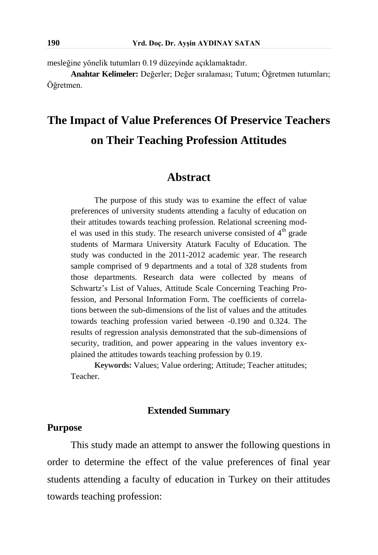mesleğine yönelik tutumları 0.19 düzeyinde açıklamaktadır.

**Anahtar Kelimeler:** Değerler; Değer sıralaması; Tutum; Öğretmen tutumları; Öğretmen.

# **The Impact of Value Preferences Of Preservice Teachers on Their Teaching Profession Attitudes**

### **Abstract**

The purpose of this study was to examine the effect of value preferences of university students attending a faculty of education on their attitudes towards teaching profession. Relational screening model was used in this study. The research universe consisted of  $4<sup>th</sup>$  grade students of Marmara University Ataturk Faculty of Education. The study was conducted in the 2011-2012 academic year. The research sample comprised of 9 departments and a total of 328 students from those departments. Research data were collected by means of Schwartz's List of Values, Attitude Scale Concerning Teaching Profession, and Personal Information Form. The coefficients of correlations between the sub-dimensions of the list of values and the attitudes towards teaching profession varied between -0.190 and 0.324. The results of regression analysis demonstrated that the sub-dimensions of security, tradition, and power appearing in the values inventory explained the attitudes towards teaching profession by 0.19.

**Keywords:** Values; Value ordering; Attitude; Teacher attitudes; Teacher.

#### **Extended Summary**

# **Purpose**

This study made an attempt to answer the following questions in order to determine the effect of the value preferences of final year students attending a faculty of education in Turkey on their attitudes towards teaching profession: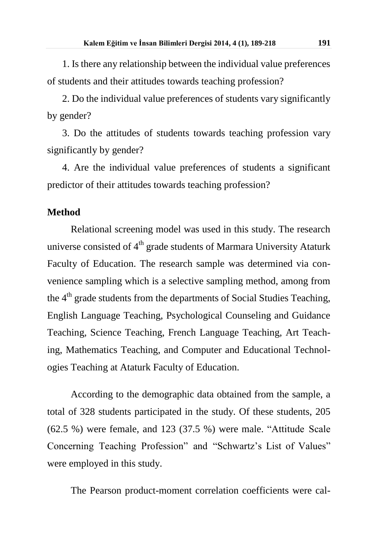1. Is there any relationship between the individual value preferences of students and their attitudes towards teaching profession?

2. Do the individual value preferences of students vary significantly by gender?

3. Do the attitudes of students towards teaching profession vary significantly by gender?

4. Are the individual value preferences of students a significant predictor of their attitudes towards teaching profession?

#### **Method**

Relational screening model was used in this study. The research universe consisted of  $4<sup>th</sup>$  grade students of Marmara University Ataturk Faculty of Education. The research sample was determined via convenience sampling which is a selective sampling method, among from the 4<sup>th</sup> grade students from the departments of Social Studies Teaching, English Language Teaching, Psychological Counseling and Guidance Teaching, Science Teaching, French Language Teaching, Art Teaching, Mathematics Teaching, and Computer and Educational Technologies Teaching at Ataturk Faculty of Education.

According to the demographic data obtained from the sample, a total of 328 students participated in the study. Of these students, 205 (62.5 %) were female, and 123 (37.5 %) were male. "Attitude Scale Concerning Teaching Profession" and "Schwartz's List of Values" were employed in this study.

The Pearson product-moment correlation coefficients were cal-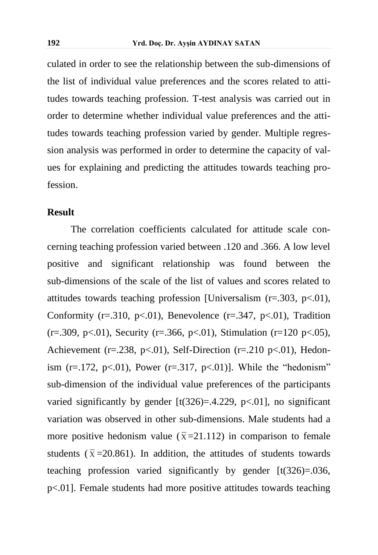culated in order to see the relationship between the sub-dimensions of the list of individual value preferences and the scores related to attitudes towards teaching profession. T-test analysis was carried out in order to determine whether individual value preferences and the attitudes towards teaching profession varied by gender. Multiple regression analysis was performed in order to determine the capacity of values for explaining and predicting the attitudes towards teaching profession.

#### **Result**

The correlation coefficients calculated for attitude scale concerning teaching profession varied between .120 and .366. A low level positive and significant relationship was found between the sub-dimensions of the scale of the list of values and scores related to attitudes towards teaching profession [Universalism (r=.303, p<.01), Conformity ( $r = .310$ ,  $p < .01$ ), Benevolence ( $r = .347$ ,  $p < .01$ ), Tradition  $(r=.309, p<.01)$ , Security  $(r=.366, p<.01)$ , Stimulation  $(r=120 p<.05)$ , Achievement (r=.238, p<.01), Self-Direction (r=.210 p<.01), Hedonism  $(r=.172, p<.01)$ , Power  $(r=.317, p<.01)$ ]. While the "hedonism" sub-dimension of the individual value preferences of the participants varied significantly by gender  $[t(326)=0.4.229, p<0.01]$ , no significant variation was observed in other sub-dimensions. Male students had a more positive hedonism value ( $\bar{x}$ =21.112) in comparison to female students ( $\bar{x}$ =20.861). In addition, the attitudes of students towards teaching profession varied significantly by gender [t(326)=.036, p<.01]. Female students had more positive attitudes towards teaching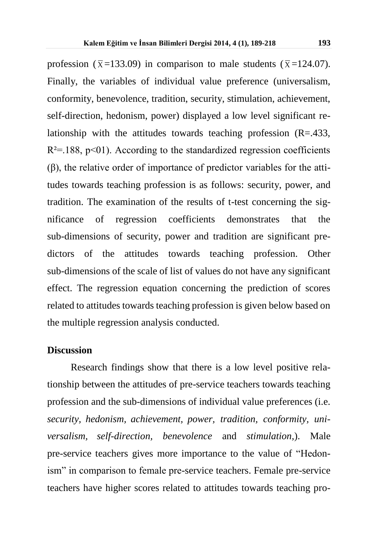profession ( $\bar{x}$ =133.09) in comparison to male students ( $\bar{x}$ =124.07). Finally, the variables of individual value preference (universalism, conformity, benevolence, tradition, security, stimulation, achievement, self-direction, hedonism, power) displayed a low level significant relationship with the attitudes towards teaching profession (R=.433,  $R^2 = 188$ ,  $p < 01$ ). According to the standardized regression coefficients (β), the relative order of importance of predictor variables for the attitudes towards teaching profession is as follows: security, power, and tradition. The examination of the results of t-test concerning the significance of regression coefficients demonstrates that the sub-dimensions of security, power and tradition are significant predictors of the attitudes towards teaching profession. Other sub-dimensions of the scale of list of values do not have any significant effect. The regression equation concerning the prediction of scores related to attitudes towards teaching profession is given below based on the multiple regression analysis conducted.

#### **Discussion**

Research findings show that there is a low level positive relationship between the attitudes of pre-service teachers towards teaching profession and the sub-dimensions of individual value preferences (i.e. *security, hedonism, achievement, power, tradition, conformity, universalism, self-direction, benevolence* and *stimulation,*). Male pre-service teachers gives more importance to the value of "Hedonism" in comparison to female pre-service teachers. Female pre-service teachers have higher scores related to attitudes towards teaching pro-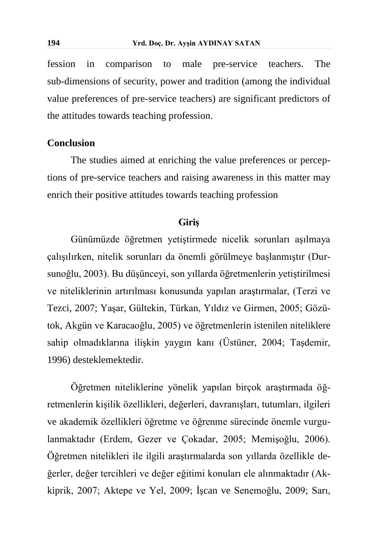fession in comparison to male pre-service teachers. The sub-dimensions of security, power and tradition (among the individual value preferences of pre-service teachers) are significant predictors of the attitudes towards teaching profession.

#### **Conclusion**

The studies aimed at enriching the value preferences or perceptions of pre-service teachers and raising awareness in this matter may enrich their positive attitudes towards teaching profession

#### **Giriş**

Günümüzde öğretmen yetiştirmede nicelik sorunları aşılmaya çalışılırken, nitelik sorunları da önemli görülmeye başlanmıştır (Dursunoğlu, 2003). Bu düşünceyi, son yıllarda öğretmenlerin yetiştirilmesi ve niteliklerinin artırılması konusunda yapılan araştırmalar, (Terzi ve Tezci, 2007; Yaşar, Gültekin, Türkan, Yıldız ve Girmen, 2005; Gözütok, Akgün ve Karacaoğlu, 2005) ve öğretmenlerin istenilen niteliklere sahip olmadıklarına ilişkin yaygın kanı (Üstüner, 2004; Taşdemir, 1996) desteklemektedir.

Öğretmen niteliklerine yönelik yapılan birçok araştırmada öğretmenlerin kişilik özellikleri, değerleri, davranışları, tutumları, ilgileri ve akademik özellikleri öğretme ve öğrenme sürecinde önemle vurgulanmaktadır (Erdem, Gezer ve Çokadar, 2005; Memişoğlu, 2006). Öğretmen nitelikleri ile ilgili araştırmalarda son yıllarda özellikle değerler, değer tercihleri ve değer eğitimi konuları ele alınmaktadır (Akkiprik, 2007; Aktepe ve Yel, 2009; İşcan ve Senemoğlu, 2009; Sarı,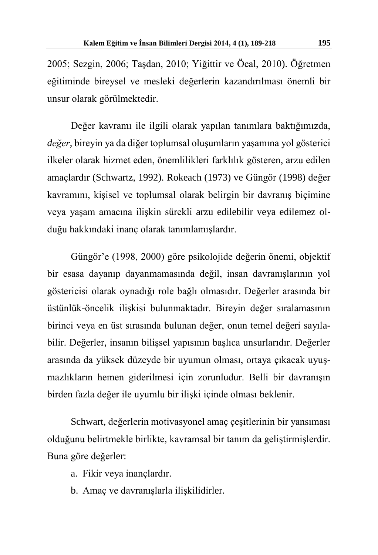2005; Sezgin, 2006; Taşdan, 2010; Yiğittir ve Öcal, 2010). Öğretmen eğitiminde bireysel ve mesleki değerlerin kazandırılması önemli bir unsur olarak görülmektedir.

Değer kavramı ile ilgili olarak yapılan tanımlara baktığımızda, *değer*, bireyin ya da diğer toplumsal oluşumların yaşamına yol gösterici ilkeler olarak hizmet eden, önemlilikleri farklılık gösteren, arzu edilen amaçlardır (Schwartz, 1992). Rokeach (1973) ve Güngör (1998) değer kavramını, kişisel ve toplumsal olarak belirgin bir davranış biçimine veya yaşam amacına ilişkin sürekli arzu edilebilir veya edilemez olduğu hakkındaki inanç olarak tanımlamışlardır.

Güngör'e (1998, 2000) göre psikolojide değerin önemi, objektif bir esasa dayanıp dayanmamasında değil, insan davranışlarının yol göstericisi olarak oynadığı role bağlı olmasıdır. Değerler arasında bir üstünlük-öncelik ilişkisi bulunmaktadır. Bireyin değer sıralamasının birinci veya en üst sırasında bulunan değer, onun temel değeri sayılabilir. Değerler, insanın bilişsel yapısının başlıca unsurlarıdır. Değerler arasında da yüksek düzeyde bir uyumun olması, ortaya çıkacak uyuşmazlıkların hemen giderilmesi için zorunludur. Belli bir davranışın birden fazla değer ile uyumlu bir ilişki içinde olması beklenir.

Schwart, değerlerin motivasyonel amaç çeşitlerinin bir yansıması olduğunu belirtmekle birlikte, kavramsal bir tanım da geliştirmişlerdir. Buna göre değerler:

a. Fikir veya inançlardır.

b. Amaç ve davranışlarla ilişkilidirler.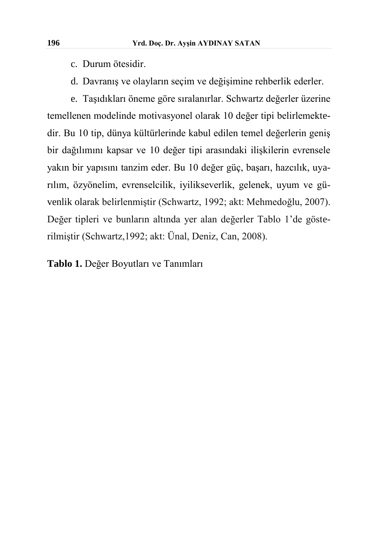- c. Durum ötesidir.
- d. Davranış ve olayların seçim ve değişimine rehberlik ederler.

e. Taşıdıkları öneme göre sıralanırlar. Schwartz değerler üzerine temellenen modelinde motivasyonel olarak 10 değer tipi belirlemektedir. Bu 10 tip, dünya kültürlerinde kabul edilen temel değerlerin geniş bir dağılımını kapsar ve 10 değer tipi arasındaki ilişkilerin evrensele yakın bir yapısını tanzim eder. Bu 10 değer güç, başarı, hazcılık, uyarılım, özyönelim, evrenselcilik, iyilikseverlik, gelenek, uyum ve güvenlik olarak belirlenmiştir (Schwartz, 1992; akt: Mehmedoğlu, 2007). Değer tipleri ve bunların altında yer alan değerler Tablo 1'de gösterilmiştir (Schwartz,1992; akt: Ünal, Deniz, Can, 2008).

**Tablo 1.** Değer Boyutları ve Tanımları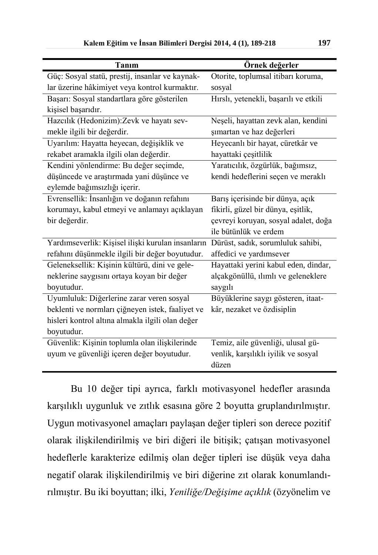| Tanım                                             | Örnek değerler                        |
|---------------------------------------------------|---------------------------------------|
| Güç: Sosyal statü, prestij, insanlar ve kaynak-   | Otorite, toplumsal itibarı koruma,    |
| lar üzerine hâkimiyet veya kontrol kurmaktır.     | sosyal                                |
| Başarı: Sosyal standartlara göre gösterilen       | Hırslı, yetenekli, başarılı ve etkili |
| kişisel başarıdır.                                |                                       |
| Hazcılık (Hedonizim):Zevk ve hayatı sev-          | Neşeli, hayattan zevk alan, kendini   |
| mekle ilgili bir değerdir.                        | şımartan ve haz değerleri             |
| Uyarılım: Hayatta heyecan, değişiklik ve          | Heyecanlı bir hayat, cüretkâr ve      |
| rekabet aramakla ilgili olan değerdir.            | hayattaki çeşitlilik                  |
| Kendini yönlendirme: Bu değer seçimde,            | Yaratıcılık, özgürlük, bağımsız,      |
| düşüncede ve araştırmada yani düşünce ve          | kendi hedeflerini seçen ve meraklı    |
| eylemde bağımsızlığı içerir.                      |                                       |
| Evrensellik: İnsanlığın ve doğanın refahını       | Barış içerisinde bir dünya, açık      |
| korumayı, kabul etmeyi ve anlamayı açıklayan      | fikirli, güzel bir dünya, eşitlik,    |
| bir değerdir.                                     | çevreyi koruyan, sosyal adalet, doğa  |
|                                                   | ile bütünlük ve erdem                 |
| Yardımseverlik: Kişisel ilişki kurulan insanların | Dürüst, sadık, sorumluluk sahibi,     |
| refahını düşünmekle ilgili bir değer boyutudur.   | affedici ve yardımsever               |
| Geleneksellik: Kişinin kültürü, dini ve gele-     | Hayattaki yerini kabul eden, dindar,  |
| neklerine saygısını ortaya koyan bir değer        | alçakgönüllü, ılımlı ve geleneklere   |
| boyutudur.                                        | saygılı                               |
| Uyumluluk: Diğerlerine zarar veren sosyal         | Büyüklerine saygı gösteren, itaat-    |
| beklenti ve normları çiğneyen istek, faaliyet ve  | kâr, nezaket ve özdisiplin            |
| hisleri kontrol altına almakla ilgili olan değer  |                                       |
| boyutudur.                                        |                                       |
| Güvenlik: Kişinin toplumla olan ilişkilerinde     | Temiz, aile güvenliği, ulusal gü-     |
| uyum ve güvenliği içeren değer boyutudur.         | venlik, karşılıklı iyilik ve sosyal   |
|                                                   | düzen                                 |

Bu 10 değer tipi ayrıca, farklı motivasyonel hedefler arasında karşılıklı uygunluk ve zıtlık esasına göre 2 boyutta gruplandırılmıştır. Uygun motivasyonel amaçları paylaşan değer tipleri son derece pozitif olarak ilişkilendirilmiş ve biri diğeri ile bitişik; çatışan motivasyonel hedeflerle karakterize edilmiş olan değer tipleri ise düşük veya daha negatif olarak ilişkilendirilmiş ve biri diğerine zıt olarak konumlandırılmıştır. Bu iki boyuttan; ilki, *Yeniliğe/Değişime açıklık* (özyönelim ve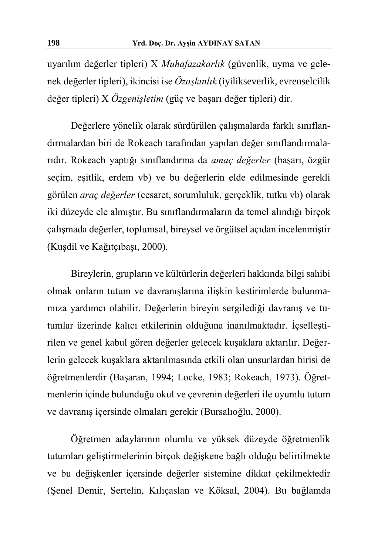uyarılım değerler tipleri) Х *Muhafazakarlık* (güvenlik, uyma ve gelenek değerler tipleri), ikincisi ise *Özaşkınlık* (iyilikseverlik, evrenselcilik değer tipleri) Х *Özgenişletim* (güç ve başarı değer tipleri) dir.

Değerlere yönelik olarak sürdürülen çalışmalarda farklı sınıflandırmalardan biri de Rokeach tarafından yapılan değer sınıflandırmalarıdır. Rokeach yaptığı sınıflandırma da *amaç değerler* (başarı, özgür seçim, eşitlik, erdem vb) ve bu değerlerin elde edilmesinde gerekli görülen *araç değerler* (cesaret, sorumluluk, gerçeklik, tutku vb) olarak iki düzeyde ele almıştır. Bu sınıflandırmaların da temel alındığı birçok çalışmada değerler, toplumsal, bireysel ve örgütsel açıdan incelenmiştir (Kuşdil ve Kağıtçıbaşı, 2000).

Bireylerin, grupların ve kültürlerin değerleri hakkında bilgi sahibi olmak onların tutum ve davranışlarına ilişkin kestirimlerde bulunmamıza yardımcı olabilir. Değerlerin bireyin sergilediği davranış ve tutumlar üzerinde kalıcı etkilerinin olduğuna inanılmaktadır. İçselleştirilen ve genel kabul gören değerler gelecek kuşaklara aktarılır. Değerlerin gelecek kuşaklara aktarılmasında etkili olan unsurlardan birisi de öğretmenlerdir (Başaran, 1994; Locke, 1983; Rokeach, 1973). Öğretmenlerin içinde bulunduğu okul ve çevrenin değerleri ile uyumlu tutum ve davranış içersinde olmaları gerekir (Bursalıoğlu, 2000).

Öğretmen adaylarının olumlu ve yüksek düzeyde öğretmenlik tutumları geliştirmelerinin birçok değişkene bağlı olduğu belirtilmekte ve bu değişkenler içersinde değerler sistemine dikkat çekilmektedir (Şenel Demir, Sertelin, Kılıçaslan ve Köksal, 2004). Bu bağlamda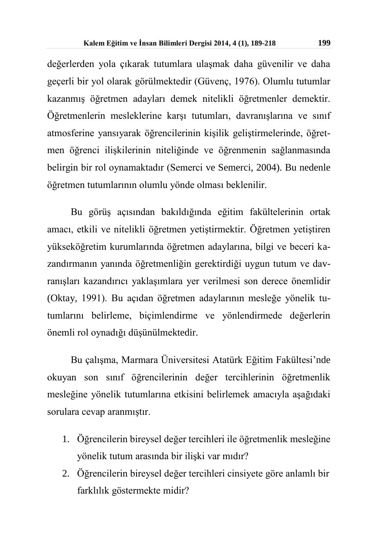değerlerden yola çıkarak tutumlara ulaşmak daha güvenilir ve daha geçerli bir yol olarak görülmektedir (Güvenç, 1976). Olumlu tutumlar kazanmış öğretmen adayları demek nitelikli öğretmenler demektir. Öğretmenlerin mesleklerine karşı tutumları, davranışlarına ve sınıf atmosferine yansıyarak öğrencilerinin kişilik geliştirmelerinde, öğretmen öğrenci ilişkilerinin niteliğinde ve öğrenmenin sağlanmasında belirgin bir rol oynamaktadır (Semerci ve Semerci, 2004). Bu nedenle öğretmen tutumlarının olumlu yönde olması beklenilir.

Bu görüş açısından bakıldığında eğitim fakültelerinin ortak amacı, etkili ve nitelikli öğretmen yetiştirmektir. Öğretmen yetiştiren yükseköğretim kurumlarında öğretmen adaylarına, bilgi ve beceri kazandırmanın yanında öğretmenliğin gerektirdiği uygun tutum ve davranışları kazandırıcı yaklaşımlara yer verilmesi son derece önemlidir (Oktay, 1991). Bu açıdan öğretmen adaylarının mesleğe yönelik tutumlarını belirleme, biçimlendirme ve yönlendirmede değerlerin önemli rol oynadığı düşünülmektedir.

Bu çalışma, Marmara Üniversitesi Atatürk Eğitim Fakültesi'nde okuyan son sınıf öğrencilerinin değer tercihlerinin öğretmenlik mesleğine yönelik tutumlarına etkisini belirlemek amacıyla aşağıdaki sorulara cevap aranmıştır.

- 1. Öğrencilerin bireysel değer tercihleri ile öğretmenlik mesleğine yönelik tutum arasında bir ilişki var mıdır?
- 2. Öğrencilerin bireysel değer tercihleri cinsiyete göre anlamlı bir farklılık göstermekte midir?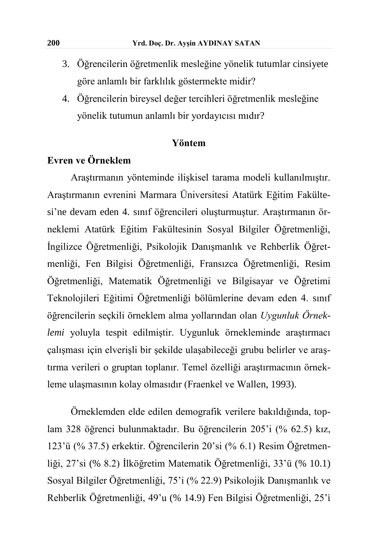- 3. Öğrencilerin öğretmenlik mesleğine yönelik tutumlar cinsiyete göre anlamlı bir farklılık göstermekte midir?
- 4. Öğrencilerin bireysel değer tercihleri öğretmenlik mesleğine yönelik tutumun anlamlı bir yordayıcısı mıdır?

#### **Yöntem**

# **Evren ve Örneklem**

Araştırmanın yönteminde ilişkisel tarama modeli kullanılmıştır. Araştırmanın evrenini Marmara Üniversitesi Atatürk Eğitim Fakültesi'ne devam eden 4. sınıf öğrencileri oluşturmuştur. Araştırmanın örneklemi Atatürk Eğitim Fakültesinin Sosyal Bilgiler Öğretmenliği, İngilizce Öğretmenliği, Psikolojik Danışmanlık ve Rehberlik Öğretmenliği, Fen Bilgisi Öğretmenliği, Fransızca Öğretmenliği, Resim Öğretmenliği, Matematik Öğretmenliği ve Bilgisayar ve Öğretimi Teknolojileri Eğitimi Öğretmenliği bölümlerine devam eden 4. sınıf öğrencilerin seçkili örneklem alma yollarından olan *Uygunluk Örneklemi* yoluyla tespit edilmiştir. Uygunluk örnekleminde araştırmacı çalışması için elverişli bir şekilde ulaşabileceği grubu belirler ve araştırma verileri o gruptan toplanır. Temel özelliği araştırmacının örnekleme ulaşmasının kolay olmasıdır (Fraenkel ve Wallen, 1993).

Örneklemden elde edilen demografik verilere bakıldığında, toplam 328 öğrenci bulunmaktadır. Bu öğrencilerin 205'i (% 62.5) kız, 123'ü (% 37.5) erkektir. Öğrencilerin 20'si (% 6.1) Resim Öğretmenliği, 27'si (% 8.2) İlköğretim Matematik Öğretmenliği, 33'ü (% 10.1) Sosyal Bilgiler Öğretmenliği, 75'i (% 22.9) Psikolojik Danışmanlık ve Rehberlik Öğretmenliği, 49'u (% 14.9) Fen Bilgisi Öğretmenliği, 25'i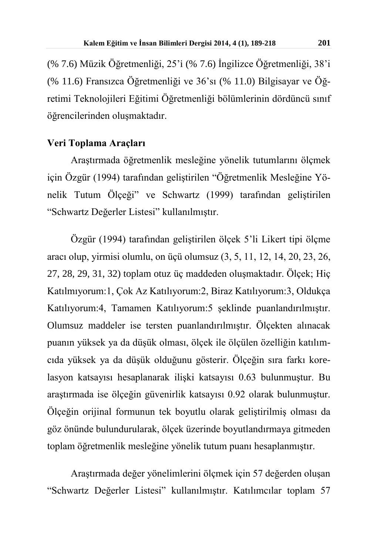(% 7.6) Müzik Öğretmenliği, 25'i (% 7.6) İngilizce Öğretmenliği, 38'i (% 11.6) Fransızca Öğretmenliği ve 36'sı (% 11.0) Bilgisayar ve Öğretimi Teknolojileri Eğitimi Öğretmenliği bölümlerinin dördüncü sınıf öğrencilerinden oluşmaktadır.

#### **Veri Toplama Araçları**

Araştırmada öğretmenlik mesleğine yönelik tutumlarını ölçmek için Özgür (1994) tarafından geliştirilen "Öğretmenlik Mesleğine Yönelik Tutum Ölçeği" ve Schwartz (1999) tarafından geliştirilen "Schwartz Değerler Listesi" kullanılmıştır.

Özgür (1994) tarafından geliştirilen ölçek 5'li Likert tipi ölçme aracı olup, yirmisi olumlu, on üçü olumsuz (3, 5, 11, 12, 14, 20, 23, 26, 27, 28, 29, 31, 32) toplam otuz üç maddeden oluşmaktadır. Ölçek; Hiç Katılmıyorum:1, Çok Az Katılıyorum:2, Biraz Katılıyorum:3, Oldukça Katılıyorum:4, Tamamen Katılıyorum:5 şeklinde puanlandırılmıştır. Olumsuz maddeler ise tersten puanlandırılmıştır. Ölçekten alınacak puanın yüksek ya da düşük olması, ölçek ile ölçülen özelliğin katılımcıda yüksek ya da düşük olduğunu gösterir. Ölçeğin sıra farkı korelasyon katsayısı hesaplanarak ilişki katsayısı 0.63 bulunmuştur. Bu araştırmada ise ölçeğin güvenirlik katsayısı 0.92 olarak bulunmuştur. Ölçeğin orijinal formunun tek boyutlu olarak geliştirilmiş olması da göz önünde bulundurularak, ölçek üzerinde boyutlandırmaya gitmeden toplam öğretmenlik mesleğine yönelik tutum puanı hesaplanmıştır.

Araştırmada değer yönelimlerini ölçmek için 57 değerden oluşan "Schwartz Değerler Listesi" kullanılmıştır. Katılımcılar toplam 57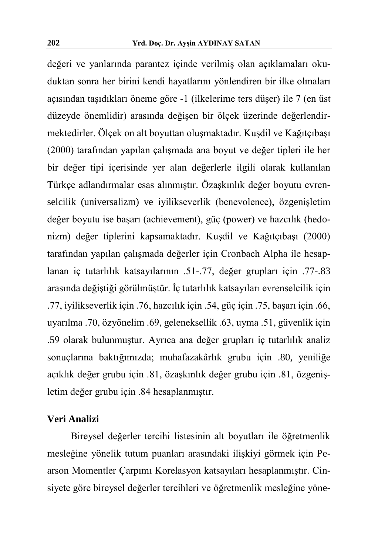değeri ve yanlarında parantez içinde verilmiş olan açıklamaları okuduktan sonra her birini kendi hayatlarını yönlendiren bir ilke olmaları açısından taşıdıkları öneme göre -1 (ilkelerime ters düşer) ile 7 (en üst düzeyde önemlidir) arasında değişen bir ölçek üzerinde değerlendirmektedirler. Ölçek on alt boyuttan oluşmaktadır. Kuşdil ve Kağıtçıbaşı (2000) tarafından yapılan çalışmada ana boyut ve değer tipleri ile her bir değer tipi içerisinde yer alan değerlerle ilgili olarak kullanılan Türkçe adlandırmalar esas alınmıştır. Özaşkınlık değer boyutu evrenselcilik (universalizm) ve iyilikseverlik (benevolence), özgenişletim değer boyutu ise başarı (achievement), güç (power) ve hazcılık (hedonizm) değer tiplerini kapsamaktadır. Kuşdil ve Kağıtçıbaşı (2000) tarafından yapılan çalışmada değerler için Cronbach Alpha ile hesaplanan iç tutarlılık katsayılarının .51-.77, değer grupları için .77-.83 arasında değiştiği görülmüştür. İç tutarlılık katsayıları evrenselcilik için .77, iyilikseverlik için .76, hazcılık için .54, güç için .75, başarı için .66, uyarılma .70, özyönelim .69, geleneksellik .63, uyma .51, güvenlik için .59 olarak bulunmuştur. Ayrıca ana değer grupları iç tutarlılık analiz sonuçlarına baktığımızda; muhafazakârlık grubu için .80, yeniliğe açıklık değer grubu için .81, özaşkınlık değer grubu için .81, özgenişletim değer grubu için .84 hesaplanmıştır.

#### **Veri Analizi**

Bireysel değerler tercihi listesinin alt boyutları ile öğretmenlik mesleğine yönelik tutum puanları arasındaki ilişkiyi görmek için Pearson Momentler Çarpımı Korelasyon katsayıları hesaplanmıştır. Cinsiyete göre bireysel değerler tercihleri ve öğretmenlik mesleğine yöne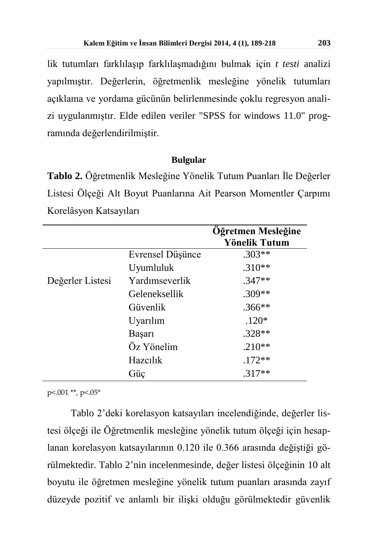lik tutumları farklılaşıp farklılaşmadığını bulmak için *t testi* analizi yapılmıştır. Değerlerin, öğretmenlik mesleğine yönelik tutumları açıklama ve yordama gücünün belirlenmesinde çoklu regresyon analizi uygulanmıştır. Elde edilen veriler "SPSS for windows 11.0" programında değerlendirilmiştir.

#### **Bulgular**

**Tablo 2.** Öğretmenlik Mesleğine Yönelik Tutum Puanları İle Değerler Listesi Ölçeği Alt Boyut Puanlarına Ait Pearson Momentler Çarpımı Korelâsyon Katsayıları

|                  |                  | Öğretmen Mesleğine<br>Yönelik Tutum |
|------------------|------------------|-------------------------------------|
|                  | Evrensel Düşünce | $.303**$                            |
|                  | Uyumluluk        | $.310**$                            |
| Değerler Listesi | Yardımseverlik   | $.347**$                            |
|                  | Geleneksellik    | .309**                              |
|                  | Güvenlik         | .366**                              |
|                  | Uyarılım         | $.120*$                             |
|                  | Başarı           | $.328**$                            |
|                  | Öz Yönelim       | $.210**$                            |
|                  | Hazcılık         | $.172**$                            |
|                  | Güç              | $.317**$                            |

p<.001 \*\*, p<.05\*

Tablo 2'deki korelasyon katsayıları incelendiğinde, değerler listesi ölçeği ile Öğretmenlik mesleğine yönelik tutum ölçeği için hesaplanan korelasyon katsayılarının 0.120 ile 0.366 arasında değiştiği görülmektedir. Tablo 2'nin incelenmesinde, değer listesi ölçeğinin 10 alt boyutu ile öğretmen mesleğine yönelik tutum puanları arasında zayıf düzeyde pozitif ve anlamlı bir ilişki olduğu görülmektedir güvenlik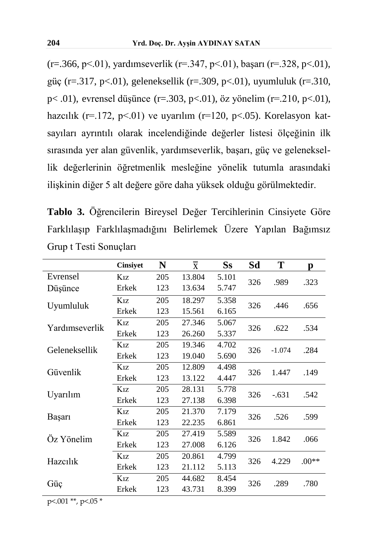$(r=.366, p\le 01)$ , yardımseverlik  $(r=.347, p\le 01)$ , başarı  $(r=.328, p\le 01)$ , güç (r=.317, p<.01), geleneksellik (r=.309, p<.01), uyumluluk (r=.310, p< .01), evrensel düşünce (r=.303, p<.01), öz yönelim (r=.210, p<.01), hazcılık (r=.172, p<.01) ve uyarılım (r=120, p<.05). Korelasyon katsayıları ayrıntılı olarak incelendiğinde değerler listesi ölçeğinin ilk sırasında yer alan güvenlik, yardımseverlik, başarı, güç ve geleneksellik değerlerinin öğretmenlik mesleğine yönelik tutumla arasındaki ilişkinin diğer 5 alt değere göre daha yüksek olduğu görülmektedir.

**Tablo 3.** Öğrencilerin Bireysel Değer Tercihlerinin Cinsiyete Göre Farklılaşıp Farklılaşmadığını Belirlemek Üzere Yapılan Bağımsız Grup t Testi Sonuçları

|                | <b>Cinsiyet</b>  | N   | $\overline{\mathbf{X}}$ | $S_{S}$ | Sd  | T        | р       |
|----------------|------------------|-----|-------------------------|---------|-----|----------|---------|
| Evrensel       | K <sub>1</sub> z | 205 | 13.804                  | 5.101   | 326 | .989     | .323    |
| Düşünce        | Erkek            | 123 | 13.634                  | 5.747   |     |          |         |
| Uyumluluk      | K <sub>17</sub>  | 205 | 18.297                  | 5.358   | 326 | .446     | .656    |
|                | Erkek            | 123 | 15.561                  | 6.165   |     |          |         |
| Yardımseverlik | $K_{1Z}$         | 205 | 27.346                  | 5.067   | 326 | .622     | .534    |
|                | Erkek            | 123 | 26.260                  | 5.337   |     |          |         |
| Geleneksellik  | $K_{1Z}$         | 205 | 19.346                  | 4.702   | 326 | $-1.074$ | .284    |
|                | Erkek            | 123 | 19.040                  | 5.690   |     |          |         |
| Güvenlik       | $K_{1Z}$         | 205 | 12.809                  | 4.498   | 326 | 1.447    | .149    |
|                | Erkek            | 123 | 13.122                  | 4.447   |     |          |         |
| Uyarılım       | $K_{17}$         | 205 | 28.131                  | 5.778   | 326 | $-.631$  | .542    |
|                | Erkek            | 123 | 27.138                  | 6.398   |     |          |         |
|                | $K_{1Z}$         | 205 | 21.370                  | 7.179   | 326 | .526     | .599    |
| Başarı         | Erkek            | 123 | 22.235                  | 6.861   |     |          |         |
| Öz Yönelim     | $K_{1Z}$         | 205 | 27.419                  | 5.589   | 326 | 1.842    | .066    |
|                | Erkek            | 123 | 27.008                  | 6.126   |     |          |         |
| Hazcılık       | $K_{1Z}$         | 205 | 20.861                  | 4.799   | 326 | 4.229    | $.00**$ |
|                | Erkek            | 123 | 21.112                  | 5.113   |     |          |         |
| Güç            | $K_{1Z}$         | 205 | 44.682                  | 8.454   | 326 | .289     | .780    |
|                | Erkek            | 123 | 43.731                  | 8.399   |     |          |         |

p<.001 \*\*, p<.05 \*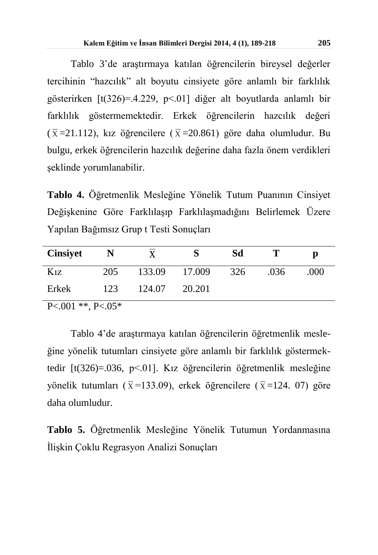Tablo 3'de araştırmaya katılan öğrencilerin bireysel değerler tercihinin "hazcılık" alt boyutu cinsiyete göre anlamlı bir farklılık gösterirken [t(326)=.4.229, p<.01] diğer alt boyutlarda anlamlı bir farklılık göstermemektedir. Erkek öğrencilerin hazcılık değeri  $(\bar{x}$ =21.112), kız öğrencilere ( $\bar{x}$ =20.861) göre daha olumludur. Bu bulgu, erkek öğrencilerin hazcılık değerine daha fazla önem verdikleri şeklinde yorumlanabilir.

**Tablo 4.** Öğretmenlik Mesleğine Yönelik Tutum Puanının Cinsiyet Değişkenine Göre Farklılaşıp Farklılaşmadığını Belirlemek Üzere Yapılan Bağımsız Grup t Testi Sonuçları

| <b>Cinsiyet</b> |     |        |        | Sd  |      | р    |
|-----------------|-----|--------|--------|-----|------|------|
| $K_{1Z}$        | 205 | 133.09 | 17.009 | 326 | .036 | .000 |
| Erkek           | 123 | 124.07 | 20.201 |     |      |      |

 $P < 001$  \*\*,  $P < 05$ \*

Tablo 4'de araştırmaya katılan öğrencilerin öğretmenlik mesleğine yönelik tutumları cinsiyete göre anlamlı bir farklılık göstermektedir [t(326)=.036, p<.01]. Kız öğrencilerin öğretmenlik mesleğine yönelik tutumları ( $\bar{x}$ =133.09), erkek öğrencilere ( $\bar{x}$ =124. 07) göre daha olumludur.

**Tablo 5.** Öğretmenlik Mesleğine Yönelik Tutumun Yordanmasına İlişkin Çoklu Regrasyon Analizi Sonuçları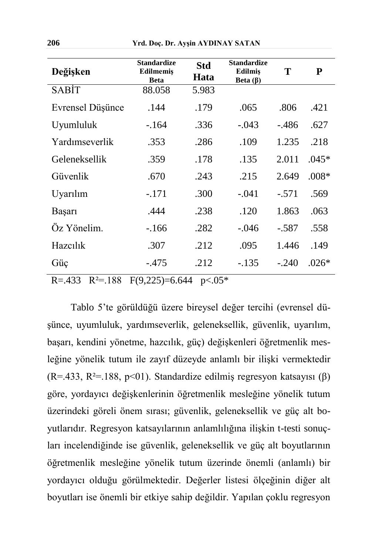| Değişken         | <b>Standardize</b><br>Edilmemiş<br><b>Beta</b> | <b>Std</b><br>Hata | <b>Standardize</b><br><b>Edilmis</b><br>Beta $(\beta)$ | Т       | P       |
|------------------|------------------------------------------------|--------------------|--------------------------------------------------------|---------|---------|
| <b>SABIT</b>     | 88.058                                         | 5.983              |                                                        |         |         |
| Evrensel Düşünce | .144                                           | .179               | .065                                                   | .806    | .421    |
| Uyumluluk        | $-164$                                         | .336               | $-.043$                                                | - 486   | .627    |
| Yardimseverlik   | .353                                           | .286               | .109                                                   | 1.235   | .218    |
| Geleneksellik    | .359                                           | .178               | .135                                                   | 2.011   | $.045*$ |
| Güvenlik         | .670                                           | .243               | .215                                                   | 2.649   | $.008*$ |
| Uyarılım         | $-.171$                                        | .300               | $-.041$                                                | $-.571$ | .569    |
| Başarı           | .444                                           | .238               | .120                                                   | 1.863   | .063    |
| Öz Yönelim.      | $-166$                                         | .282               | $-.046$                                                | $-.587$ | .558    |
| Hazcılık         | .307                                           | .212               | .095                                                   | 1.446   | .149    |
| Güç              | $-.475$                                        | .212               | $-.135$                                                | $-240$  | $.026*$ |

 $R = 433 \quad R^2 = 188 \quad F(9.225) = 6.644 \quad p < 0.05^*$ 

Tablo 5'te görüldüğü üzere bireysel değer tercihi (evrensel düşünce, uyumluluk, yardımseverlik, geleneksellik, güvenlik, uyarılım, başarı, kendini yönetme, hazcılık, güç) değişkenleri öğretmenlik mesleğine yönelik tutum ile zayıf düzeyde anlamlı bir ilişki vermektedir (R=.433, R<sup>2</sup>=.188, p<01). Standardize edilmiş regresyon katsayısı ( $\beta$ ) göre, yordayıcı değişkenlerinin öğretmenlik mesleğine yönelik tutum üzerindeki göreli önem sırası; güvenlik, geleneksellik ve güç alt boyutlarıdır. Regresyon katsayılarının anlamlılığına ilişkin t-testi sonuçları incelendiğinde ise güvenlik, geleneksellik ve güç alt boyutlarının öğretmenlik mesleğine yönelik tutum üzerinde önemli (anlamlı) bir yordayıcı olduğu görülmektedir. Değerler listesi ölçeğinin diğer alt boyutları ise önemli bir etkiye sahip değildir. Yapılan çoklu regresyon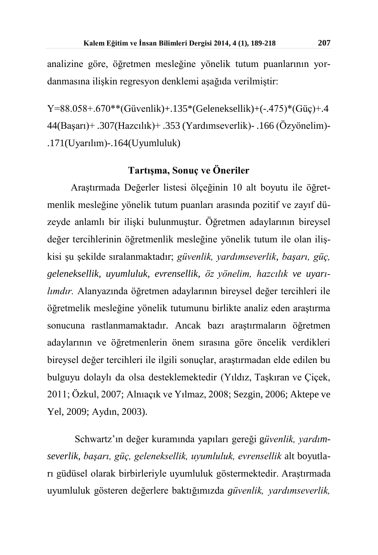analizine göre, öğretmen mesleğine yönelik tutum puanlarının yordanmasına ilişkin regresyon denklemi aşağıda verilmiştir:

Y=88.058+.670\*\*(Güvenlik)+.135\*(Geleneksellik)+(-.475)\*(Güç)+.4 44(Başarı)+ .307(Hazcılık)+ .353 (Yardımseverlik)- .166 (Özyönelim)- .171(Uyarılım)-.164(Uyumluluk)

### **Tartışma, Sonuç ve Öneriler**

Araştırmada Değerler listesi ölçeğinin 10 alt boyutu ile öğretmenlik mesleğine yönelik tutum puanları arasında pozitif ve zayıf düzeyde anlamlı bir ilişki bulunmuştur. Öğretmen adaylarının bireysel değer tercihlerinin öğretmenlik mesleğine yönelik tutum ile olan ilişkisi şu şekilde sıralanmaktadır; *güvenlik, yardımseverlik, başarı, güç, geleneksellik, uyumluluk, evrensellik, öz yönelim, hazcılık ve uyarılımdır.* Alanyazında öğretmen adaylarının bireysel değer tercihleri ile öğretmelik mesleğine yönelik tutumunu birlikte analiz eden araştırma sonucuna rastlanmamaktadır. Ancak bazı araştırmaların öğretmen adaylarının ve öğretmenlerin önem sırasına göre öncelik verdikleri bireysel değer tercihleri ile ilgili sonuçlar, araştırmadan elde edilen bu bulguyu dolaylı da olsa desteklemektedir (Yıldız, Taşkıran ve Çiçek, 2011; Özkul, 2007; Alnıaçık ve Yılmaz, 2008; Sezgin, 2006; Aktepe ve Yel, 2009; Aydın, 2003).

Schwartz'ın değer kuramında yapıları gereği g*üvenlik, yardımseverlik, başarı, güç, geleneksellik, uyumluluk, evrensellik* alt boyutları güdüsel olarak birbirleriyle uyumluluk göstermektedir. Araştırmada uyumluluk gösteren değerlere baktığımızda *güvenlik, yardımseverlik,*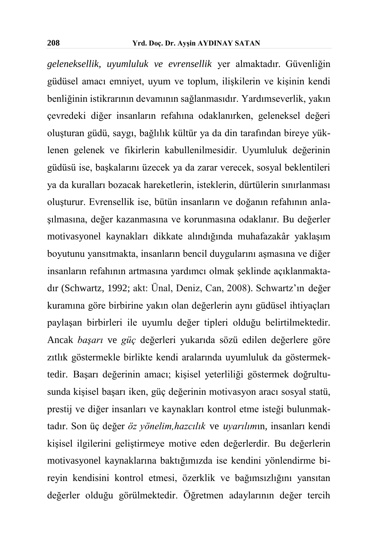*geleneksellik, uyumluluk ve evrensellik* yer almaktadır*.* Güvenliğin güdüsel amacı emniyet, uyum ve toplum, ilişkilerin ve kişinin kendi benliğinin istikrarının devamının sağlanmasıdır. Yardımseverlik, yakın çevredeki diğer insanların refahına odaklanırken, geleneksel değeri oluşturan güdü, saygı, bağlılık kültür ya da din tarafından bireye yüklenen gelenek ve fikirlerin kabullenilmesidir. Uyumluluk değerinin güdüsü ise, başkalarını üzecek ya da zarar verecek, sosyal beklentileri ya da kuralları bozacak hareketlerin, isteklerin, dürtülerin sınırlanması oluşturur. Evrensellik ise, bütün insanların ve doğanın refahının anlaşılmasına, değer kazanmasına ve korunmasına odaklanır. Bu değerler motivasyonel kaynakları dikkate alındığında muhafazakâr yaklaşım boyutunu yansıtmakta, insanların bencil duygularını aşmasına ve diğer insanların refahının artmasına yardımcı olmak şeklinde açıklanmaktadır (Schwartz, 1992; akt: Ünal, Deniz, Can, 2008). Schwartz'ın değer kuramına göre birbirine yakın olan değerlerin aynı güdüsel ihtiyaçları paylaşan birbirleri ile uyumlu değer tipleri olduğu belirtilmektedir. Ancak *başarı* ve *güç* değerleri yukarıda sözü edilen değerlere göre zıtlık göstermekle birlikte kendi aralarında uyumluluk da göstermektedir. Başarı değerinin amacı; kişisel yeterliliği göstermek doğrultusunda kişisel başarı iken, güç değerinin motivasyon aracı sosyal statü, prestij ve diğer insanları ve kaynakları kontrol etme isteği bulunmaktadır. Son üç değer *öz yönelim,hazcılık* ve *uyarılım*ın*,* insanları kendi kişisel ilgilerini geliştirmeye motive eden değerlerdir. Bu değerlerin motivasyonel kaynaklarına baktığımızda ise kendini yönlendirme bireyin kendisini kontrol etmesi, özerklik ve bağımsızlığını yansıtan değerler olduğu görülmektedir. Öğretmen adaylarının değer tercih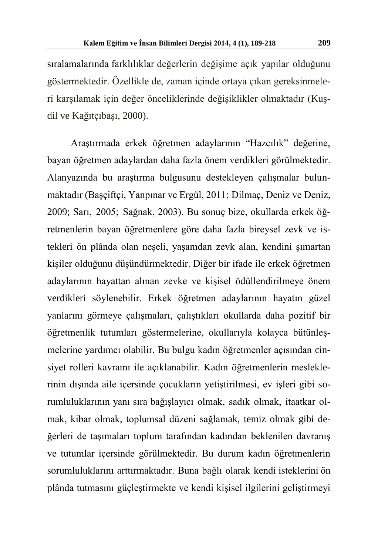sıralamalarında farklılıklar değerlerin değişime açık yapılar olduğunu göstermektedir. Özellikle de, zaman içinde ortaya çıkan gereksinmeleri karşılamak için değer önceliklerinde değişiklikler olmaktadır (Kuşdil ve Kağıtçıbaşı, 2000).

Araştırmada erkek öğretmen adaylarının "Hazcılık" değerine, bayan öğretmen adaylardan daha fazla önem verdikleri görülmektedir. Alanyazında bu araştırma bulgusunu destekleyen çalışmalar bulunmaktadır (Başçiftçi, Yanpınar ve Ergül, 2011; Dilmaç, Deniz ve Deniz, 2009; Sarı, 2005; Sağnak, 2003). Bu sonuç bize, okullarda erkek öğretmenlerin bayan öğretmenlere göre daha fazla bireysel zevk ve istekleri ön plânda olan neşeli, yaşamdan zevk alan, kendini şımartan kişiler olduğunu düşündürmektedir. Diğer bir ifade ile erkek öğretmen adaylarının hayattan alınan zevke ve kişisel ödüllendirilmeye önem verdikleri söylenebilir. Erkek öğretmen adaylarının hayatın güzel yanlarını görmeye çalışmaları, çalıştıkları okullarda daha pozitif bir öğretmenlik tutumları göstermelerine, okullarıyla kolayca bütünleşmelerine yardımcı olabilir. Bu bulgu kadın öğretmenler açısından cinsiyet rolleri kavramı ile açıklanabilir. Kadın öğretmenlerin mesleklerinin dışında aile içersinde çocukların yetiştirilmesi, ev işleri gibi sorumluluklarının yanı sıra bağışlayıcı olmak, sadık olmak, itaatkar olmak, kibar olmak, toplumsal düzeni sağlamak, temiz olmak gibi değerleri de taşımaları toplum tarafından kadından beklenilen davranış ve tutumlar içersinde görülmektedir. Bu durum kadın öğretmenlerin sorumluluklarını arttırmaktadır. Buna bağlı olarak kendi isteklerini ön plânda tutmasını güçleştirmekte ve kendi kişisel ilgilerini geliştirmeyi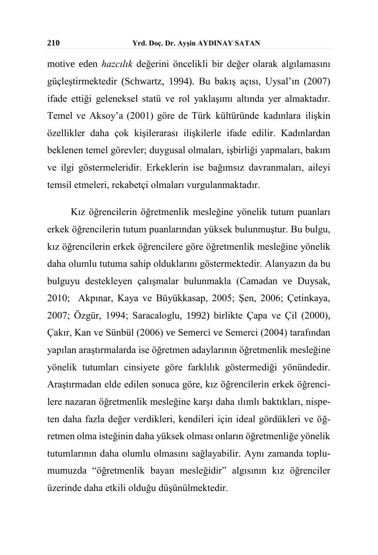motive eden *hazcılık* değerini öncelikli bir değer olarak algılamasını güçleştirmektedir (Schwartz, 1994). Bu bakış açısı, Uysal'ın (2007) ifade ettiği geleneksel statü ve rol yaklaşımı altında yer almaktadır. Temel ve Aksoy'a (2001) göre de Türk kültüründe kadınlara ilişkin özellikler daha çok kişilerarası ilişkilerle ifade edilir. Kadınlardan beklenen temel görevler; duygusal olmaları, işbirliği yapmaları, bakım ve ilgi göstermeleridir. Erkeklerin ise bağımsız davranmaları, aileyi temsil etmeleri, rekabetçi olmaları vurgulanmaktadır.

Kız öğrencilerin öğretmenlik mesleğine yönelik tutum puanları erkek öğrencilerin tutum puanlarından yüksek bulunmuştur. Bu bulgu, kız öğrencilerin erkek öğrencilere göre öğretmenlik mesleğine yönelik daha olumlu tutuma sahip olduklarını göstermektedir. Alanyazın da bu bulguyu destekleyen çalışmalar bulunmakla (Camadan ve Duysak, 2010; Akpınar, Kaya ve Büyükkasap, 2005; Şen, 2006; Çetinkaya, 2007; Özgür, 1994; Saracaloglu, 1992) birlikte Çapa ve Çil (2000), Çakır, Kan ve Sünbül (2006) ve Semerci ve Semerci (2004) tarafından yapılan araştırmalarda ise öğretmen adaylarının öğretmenlik mesleğine yönelik tutumları cinsiyete göre farklılık göstermediği yönündedir. Araştırmadan elde edilen sonuca göre, kız öğrencilerin erkek öğrencilere nazaran öğretmenlik mesleğine karşı daha ılımlı baktıkları, nispeten daha fazla değer verdikleri, kendileri için ideal gördükleri ve öğretmen olma isteğinin daha yüksek olması onların öğretmenliğe yönelik tutumlarının daha olumlu olmasını sağlayabilir. Aynı zamanda toplumumuzda "öğretmenlik bayan mesleğidir" algısının kız öğrenciler üzerinde daha etkili olduğu düşünülmektedir.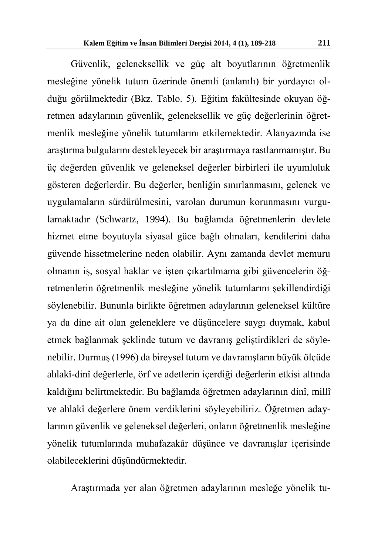Güvenlik, geleneksellik ve güç alt boyutlarının öğretmenlik mesleğine yönelik tutum üzerinde önemli (anlamlı) bir yordayıcı olduğu görülmektedir (Bkz. Tablo. 5). Eğitim fakültesinde okuyan öğretmen adaylarının güvenlik, geleneksellik ve güç değerlerinin öğretmenlik mesleğine yönelik tutumlarını etkilemektedir. Alanyazında ise araştırma bulgularını destekleyecek bir araştırmaya rastlanmamıştır. Bu üç değerden güvenlik ve geleneksel değerler birbirleri ile uyumluluk gösteren değerlerdir. Bu değerler, benliğin sınırlanmasını, gelenek ve uygulamaların sürdürülmesini, varolan durumun korunmasını vurgulamaktadır (Schwartz, 1994). Bu bağlamda öğretmenlerin devlete hizmet etme boyutuyla siyasal güce bağlı olmaları, kendilerini daha güvende hissetmelerine neden olabilir. Aynı zamanda devlet memuru olmanın iş, sosyal haklar ve işten çıkartılmama gibi güvencelerin öğretmenlerin öğretmenlik mesleğine yönelik tutumlarını şekillendirdiği söylenebilir. Bununla birlikte öğretmen adaylarının geleneksel kültüre ya da dine ait olan geleneklere ve düşüncelere saygı duymak, kabul etmek bağlanmak şeklinde tutum ve davranış geliştirdikleri de söylenebilir. Durmuş (1996) da bireysel tutum ve davranışların büyük ölçüde ahlakî-dinî değerlerle, örf ve adetlerin içerdiği değerlerin etkisi altında kaldığını belirtmektedir. Bu bağlamda öğretmen adaylarının dinî, millî ve ahlakî değerlere önem verdiklerini söyleyebiliriz. Öğretmen adaylarının güvenlik ve geleneksel değerleri, onların öğretmenlik mesleğine yönelik tutumlarında muhafazakâr düşünce ve davranışlar içerisinde olabileceklerini düşündürmektedir.

Araştırmada yer alan öğretmen adaylarının mesleğe yönelik tu-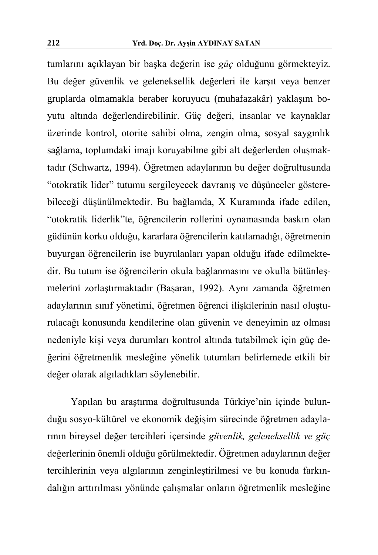tumlarını açıklayan bir başka değerin ise *güç* olduğunu görmekteyiz. Bu değer güvenlik ve geleneksellik değerleri ile karşıt veya benzer gruplarda olmamakla beraber koruyucu (muhafazakâr) yaklaşım boyutu altında değerlendirebilinir. Güç değeri, insanlar ve kaynaklar üzerinde kontrol, otorite sahibi olma, zengin olma, sosyal saygınlık sağlama, toplumdaki imajı koruyabilme gibi alt değerlerden oluşmaktadır (Schwartz, 1994). Öğretmen adaylarının bu değer doğrultusunda "otokratik lider" tutumu sergileyecek davranış ve düşünceler gösterebileceği düşünülmektedir. Bu bağlamda, X Kuramında ifade edilen, "otokratik liderlik"te, öğrencilerin rollerini oynamasında baskın olan güdünün korku olduğu, kararlara öğrencilerin katılamadığı, öğretmenin buyurgan öğrencilerin ise buyrulanları yapan olduğu ifade edilmektedir. Bu tutum ise öğrencilerin okula bağlanmasını ve okulla bütünleşmelerini zorlaştırmaktadır (Başaran, 1992). Aynı zamanda öğretmen adaylarının sınıf yönetimi, öğretmen öğrenci ilişkilerinin nasıl oluşturulacağı konusunda kendilerine olan güvenin ve deneyimin az olması nedeniyle kişi veya durumları kontrol altında tutabilmek için güç değerini öğretmenlik mesleğine yönelik tutumları belirlemede etkili bir değer olarak algıladıkları söylenebilir.

Yapılan bu araştırma doğrultusunda Türkiye'nin içinde bulunduğu sosyo-kültürel ve ekonomik değişim sürecinde öğretmen adaylarının bireysel değer tercihleri içersinde *güvenlik, geleneksellik ve güç* değerlerinin önemli olduğu görülmektedir. Öğretmen adaylarının değer tercihlerinin veya algılarının zenginleştirilmesi ve bu konuda farkındalığın arttırılması yönünde çalışmalar onların öğretmenlik mesleğine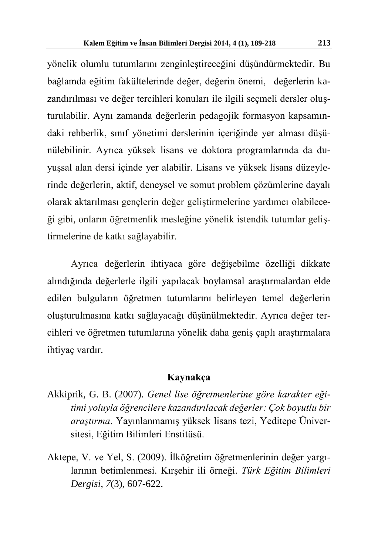yönelik olumlu tutumlarını zenginleştireceğini düşündürmektedir. Bu bağlamda eğitim fakültelerinde değer, değerin önemi, değerlerin kazandırılması ve değer tercihleri konuları ile ilgili seçmeli dersler oluşturulabilir. Aynı zamanda değerlerin pedagojik formasyon kapsamındaki rehberlik, sınıf yönetimi derslerinin içeriğinde yer alması düşünülebilinir. Ayrıca yüksek lisans ve doktora programlarında da duyuşsal alan dersi içinde yer alabilir. Lisans ve yüksek lisans düzeylerinde değerlerin, aktif, deneysel ve somut problem çözümlerine dayalı olarak aktarılması gençlerin değer geliştirmelerine yardımcı olabileceği gibi, onların öğretmenlik mesleğine yönelik istendik tutumlar geliştirmelerine de katkı sağlayabilir.

Ayrıca değerlerin ihtiyaca göre değişebilme özelliği dikkate alındığında değerlerle ilgili yapılacak boylamsal araştırmalardan elde edilen bulguların öğretmen tutumlarını belirleyen temel değerlerin oluşturulmasına katkı sağlayacağı düşünülmektedir. Ayrıca değer tercihleri ve öğretmen tutumlarına yönelik daha geniş çaplı araştırmalara ihtiyaç vardır.

#### **Kaynakça**

- Akkiprik, G. B. (2007). *Genel lise öğretmenlerine göre karakter eğitimi yoluyla öğrencilere kazandırılacak değerler: Çok boyutlu bir araştırma*. Yayınlanmamış yüksek lisans tezi, Yeditepe Üniversitesi, Eğitim Bilimleri Enstitüsü.
- Aktepe, V. ve Yel, S. (2009). İlköğretim öğretmenlerinin değer yargılarının betimlenmesi. Kırşehir ili örneği. *Türk Eğitim Bilimleri Dergisi, 7*(3), 607-622.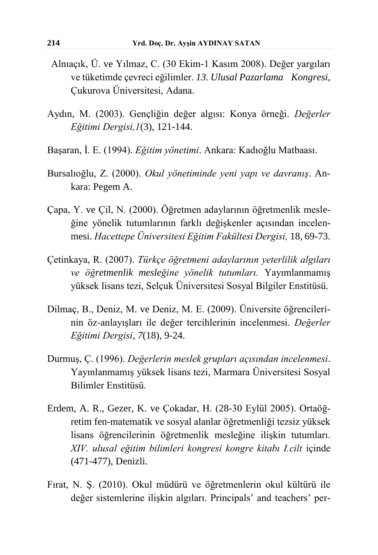- Alnıaçık, Ü. ve Yılmaz, C. (30 Ekim-1 Kasım 2008). Değer yargıları ve tüketimde çevreci eğilimler. *13. Ulusal Pazarlama Kongresi,*  Çukurova Üniversitesi, Adana.
- Aydın, M. (2003). Gençliğin değer algısı: Konya örneği. *Değerler Eğitimi Dergisi,1*(3), 121-144.
- Başaran, İ. E. (1994). *Eğitim yönetimi*. Ankara: Kadıoğlu Matbaası.
- Bursalıoğlu, Z. (2000). *Okul yönetiminde yeni yapı ve davranış*. Ankara: Pegem A.
- Çapa, Y. ve Çil, N. (2000). Öğretmen adaylarının öğretmenlik mesleğine yönelik tutumlarının farklı değişkenler açısından incelenmesi. *Hacettepe Üniversitesi Eğitim Fakültesi Dergisi,* 18, 69-73.
- Çetinkaya, R. (2007). *Türkçe öğretmeni adaylarının yeterlilik algıları ve öğretmenlik mesleğine yönelik tutumları.* Yayımlanmamış yüksek lisans tezi, Selçuk Üniversitesi Sosyal Bilgiler Enstitüsü.
- Dilmaç, B., Deniz, M. ve Deniz, M. E. (2009). Üniversite öğrencilerinin öz-anlayışları ile değer tercihlerinin incelenmesi. *Değerler Eğitimi Dergisi*, *7*(18), 9-24.
- Durmuş, Ç. (1996). *Değerlerin meslek grupları açısından incelenmesi*. Yayınlanmamış yüksek lisans tezi, Marmara Üniversitesi Sosyal Bilimler Enstitüsü.
- Erdem, A. R., Gezer, K. ve Çokadar, H. (28-30 Eylül 2005). Ortaöğretim fen-matematik ve sosyal alanlar öğretmenliği tezsiz yüksek lisans öğrencilerinin öğretmenlik mesleğine ilişkin tutumları. *XIV. ulusal eğitim bilimleri kongresi kongre kitabı I.cilt* içinde (471-477), Denizli.
- Fırat, N. Ş. (2010). Okul müdürü ve öğretmenlerin okul kültürü ile değer sistemlerine ilişkin algıları. Principals' and teachers' per-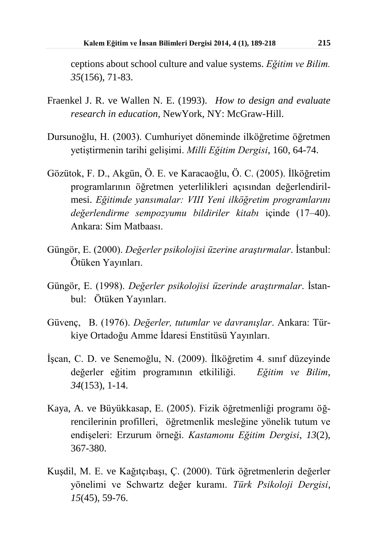ceptions about school culture and value systems. *Eğitim ve Bilim. 35*(156), 71-83.

- Fraenkel J. R. ve Wallen N. E. (1993). *How to design and evaluate research in education,* NewYork, NY: McGraw-Hill.
- Dursunoğlu, H. (2003). Cumhuriyet döneminde ilköğretime öğretmen yetiştirmenin tarihi gelişimi. *Milli Eğitim Dergisi*, 160, 64-74.
- Gözütok, F. D., Akgün, Ö. E. ve Karacaoğlu, Ö. C. (2005). İlköğretim programlarının öğretmen yeterlilikleri açısından değerlendirilmesi. *Eğitimde yansımalar: VIII Yeni ilköğretim programlarını değerlendirme sempozyumu bildiriler kitabı* içinde (17–40). Ankara: Sim Matbaası.
- Güngör, E. (2000). *Değerler psikolojisi üzerine araştırmalar*. İstanbul: Ötüken Yayınları.
- Güngör, E. (1998). *Değerler psikolojisi üzerinde araştırmalar*. İstanbul: Ötüken Yayınları.
- Güvenç, B. (1976). *Değerler, tutumlar ve davranışlar*. Ankara: Türkiye Ortadoğu Amme İdaresi Enstitüsü Yayınları.
- İşcan, C. D. ve Senemoğlu, N. (2009). İlköğretim 4. sınıf düzeyinde değerler eğitim programının etkililiği. *Eğitim ve Bilim*, *34*(153), 1-14.
- Kaya, A. ve Büyükkasap, E. (2005). Fizik öğretmenliği programı öğrencilerinin profilleri, öğretmenlik mesleğine yönelik tutum ve endişeleri: Erzurum örneği. *Kastamonu Eğitim Dergisi*, *13*(2), 367-380.
- Kuşdil, M. E. ve Kağıtçıbaşı, Ç. (2000). Türk öğretmenlerin değerler yönelimi ve Schwartz değer kuramı. *Türk Psikoloji Dergisi*, *15*(45), 59-76.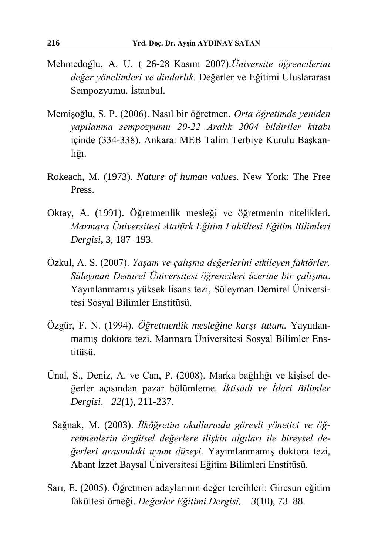- Mehmedoğlu, A. U. ( 26-28 Kasım 2007).*Üniversite öğrencilerini değer yönelimleri ve dindarlık.* Değerler ve Eğitimi Uluslararası Sempozyumu. İstanbul.
- Memişoğlu, S. P. (2006). Nasıl bir öğretmen. *Orta öğretimde yeniden yapılanma sempozyumu 20-22 Aralık 2004 bildiriler kitabı* içinde (334-338). Ankara: MEB Talim Terbiye Kurulu Başkanlığı.
- Rokeach, M. (1973). *Nature of human values.* New York: The Free Press.
- Oktay, A. (1991). Öğretmenlik mesleği ve öğretmenin nitelikleri*. Marmara Üniversitesi Atatürk Eğitim Fakültesi Eğitim Bilimleri Dergisi***,** 3, 187–193.
- Özkul, A. S. (2007). *Yaşam ve çalışma değerlerini etkileyen faktörler, Süleyman Demirel Üniversitesi öğrencileri üzerine bir çalışma*. Yayınlanmamış yüksek lisans tezi, Süleyman Demirel Üniversitesi Sosyal Bilimler Enstitüsü.
- Özgür, F. N. (1994). *Öğretmenlik mesleğine karşı tutum.* Yayınlanmamış doktora tezi, Marmara Üniversitesi Sosyal Bilimler Enstitüsü.
- Ünal, S., Deniz, A. ve Can, P. (2008). Marka bağlılığı ve kişisel değerler açısından pazar bölümleme. *İktisadi ve İdari Bilimler Dergisi, 22*(1), 211-237.
	- Sağnak, M. (2003). *İlköğretim okullarında görevli yönetici ve öğretmenlerin örgütsel değerlere ilişkin algıları ile bireysel değerleri arasındaki uyum düzeyi.* Yayımlanmamış doktora tezi, Abant İzzet Baysal Üniversitesi Eğitim Bilimleri Enstitüsü.
- Sarı, E. (2005). Öğretmen adaylarının değer tercihleri: Giresun eğitim fakültesi örneği. *Değerler Eğitimi Dergisi, 3*(10), 73–88.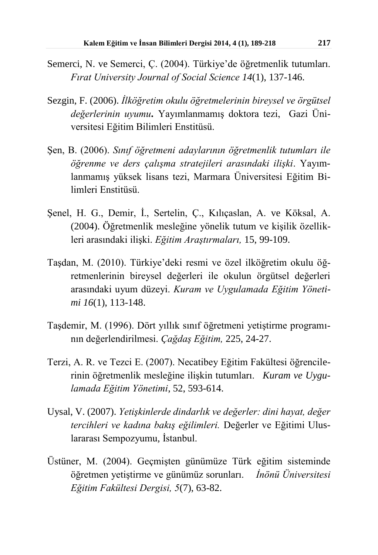- Semerci, N. ve Semerci, Ç. (2004). Türkiye'de öğretmenlik tutumları. *Fırat University Journal of Social Science 14*(1), 137-146.
- Sezgin, F. (2006). *İlköğretim okulu öğretmelerinin bireysel ve örgütsel değerlerinin uyumu***.** Yayımlanmamış doktora tezi, Gazi Üniversitesi Eğitim Bilimleri Enstitüsü.
- Şen, B. (2006). *Sınıf öğretmeni adaylarının öğretmenlik tutumları ile öğrenme ve ders çalışma stratejileri arasındaki ilişki*. Yayımlanmamış yüksek lisans tezi, Marmara Üniversitesi Eğitim Bilimleri Enstitüsü.
- Şenel, H. G., Demir, İ., Sertelin, Ç., Kılıçaslan, A. ve Köksal, A. (2004). Öğretmenlik mesleğine yönelik tutum ve kişilik özellikleri arasındaki ilişki. *Eğitim Araştırmaları,* 15, 99-109.
- Taşdan, M. (2010). Türkiye'deki resmi ve özel ilköğretim okulu öğretmenlerinin bireysel değerleri ile okulun örgütsel değerleri arasındaki uyum düzeyi. *Kuram ve Uygulamada Eğitim Yönetimi 16*(1), 113-148.
- Taşdemir, M. (1996). Dört yıllık sınıf öğretmeni yetiştirme programının değerlendirilmesi. *Çağdaş Eğitim,* 225, 24-27.
- Terzi, A. R. ve Tezci E. (2007). Necatibey Eğitim Fakültesi öğrencilerinin öğretmenlik mesleğine ilişkin tutumları. *Kuram ve Uygulamada Eğitim Yönetimi*, 52, 593-614.
- Uysal, V. (2007). *Yetişkinlerde dindarlık ve değerler: dini hayat, değer tercihleri ve kadına bakış eğilimleri.* Değerler ve Eğitimi Uluslararası Sempozyumu*,* İstanbul.
- Üstüner, M. (2004). Geçmişten günümüze Türk eğitim sisteminde öğretmen yetiştirme ve günümüz sorunları. *İnönü Üniversitesi Eğitim Fakültesi Dergisi, 5*(7), 63-82.